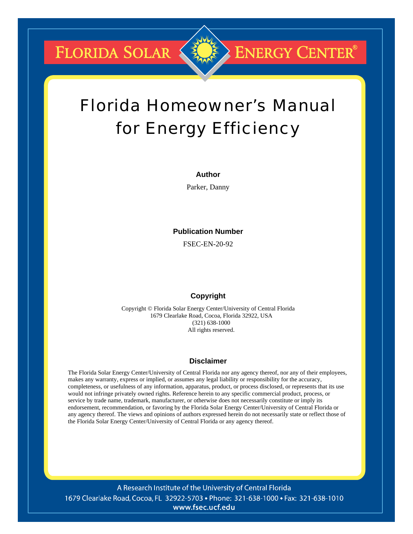FLORIDA SOLAR

# Florida Homeowner's Manual for Energy Efficiency

**ENERGY CENTER®** 

#### **Author**

Parker, Danny

#### **Publication Number**

FSEC-EN-20-92

#### **Copyright**

Copyright © Florida Solar Energy Center/University of Central Florida 1679 Clearlake Road, Cocoa, Florida 32922, USA (321) 638-1000 All rights reserved.

#### **Disclaimer**

The Florida Solar Energy Center/University of Central Florida nor any agency thereof, nor any of their employees, makes any warranty, express or implied, or assumes any legal liability or responsibility for the accuracy, completeness, or usefulness of any information, apparatus, product, or process disclosed, or represents that its use would not infringe privately owned rights. Reference herein to any specific commercial product, process, or service by trade name, trademark, manufacturer, or otherwise does not necessarily constitute or imply its endorsement, recommendation, or favoring by the Florida Solar Energy Center/University of Central Florida or any agency thereof. The views and opinions of authors expressed herein do not necessarily state or reflect those of the Florida Solar Energy Center/University of Central Florida or any agency thereof.

A Research Institute of the University of Central Florida 1679 Clearlake Road, Cocoa, FL 32922-5703 • Phone: 321-638-1000 • Fax: 321-638-1010 www.fsec.ucf.edu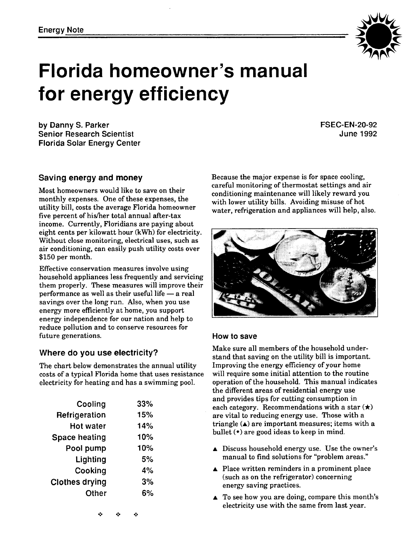

# **Florida homeowner's manual for energy efficiency**

**by Danny S. Parker Senior Research Scientist Florida Solar Energy Center**  **FSEC-EN-20-92 June 1992** 

#### **Saving energy and money**

Most homeowners would like to save on their monthly expenses. One of these expenses, the utility bill, costs the average Florida homeowner five percent of his/her total annual after-tax income. Currently, Floridians are paying about eight cents per kilowatt hour (kWh) for electricity. Without close monitoring, electrical uses, such as air conditioning, can easily push utility costs over \$150 per month.

Effective conservation measures involve using household appliances less frequently and servicing them properly. These measures will improve their household appliances less frequently and servicii<br>them properly. These measures will improve the<br>performance as well as their useful life  $-$  a real savings over the long run. Also, when you use energy more efficiently at home, you support energy independence for our nation and help to reduce pollution and to conserve resources for future generations.

#### **Where do you use electricity?**

The chart below demonstrates the annual utility costs of a typical Florida home that uses resistance electricity for heating and has a swimming pool.

| 33% |
|-----|
| 15% |
| 14% |
| 10% |
| 10% |
| 5%  |
| 4%  |
| 3%  |
| 6%  |
|     |

Because the major expense is for space cooling, careful monitoring of thermostat settings and air conditioning maintenance will likely reward you with lower utility bills. Avoiding misuse of hot water, refrigeration and appliances will help, also.



#### **How to save**

Make sure all members of the household understand that saving on the utility bill is important. Improving the energy efficiency of your home will require some initial attention to the routine operation of the household. This manual indicates the different areas of residential energy use and provides tips for cutting consumption in each category. Recommendations with a star  $(\star)$ are vital to reducing energy use. Those with a triangle  $(4)$  are important measures; items with a bullet  $(•)$  are good ideas to keep in mind.

- A Discuss household energy use. Use the owner's manual to find solutions for "problem areas."
- $\triangle$  Place written reminders in a prominent place (such as on the refrigerator) concerning energy saving practices.
- $\triangle$  To see how you are doing, compare this month's electricity use with the same from last year.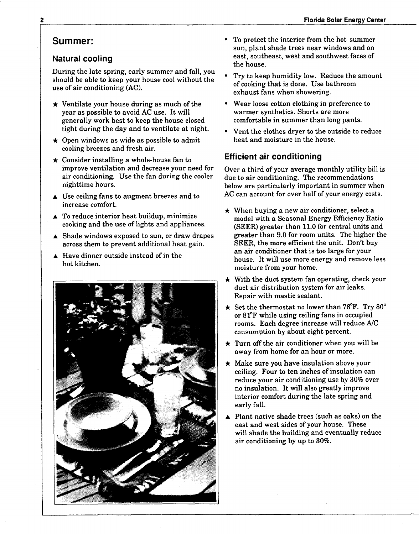#### **Summer:**

#### **Natural cooling**

During the late spring, early summer and fall, you should be able to keep your house cool without the use of air conditioning (AC).

- $\star$  Ventilate your house during as much of the year as possible to avoid AC use. It will generally work best to keep the house closed<br>tight during the day and to ventilate at night.
- $\star$  Open windows as wide as possible to admit cooling breezes and fresh air.
- $\star$  Consider installing a whole-house fan to improve ventilation and decrease your need for air conditioning. Use the fan during the cooler nighttime hours.
- A Use ceiling fans to augment breezes and to increase comfort.
- A To reduce interior heat buildup, minimize cooking and the use of lights and appliances.
- A Shade windows exposed to sun, or draw drapes across them to prevent additional heat gain.
- A Have dinner outside instead of in the hot kitchen.



- To protect the interior from the hot summer sun, plant shade trees near windows and on east, southeast, west and southwest faces of the house.
- Try to keep humidity low. Reduce the amount of cooking that is done. Use bathroom exhaust fans when showering.
- Wear loose cotton clothing in preference to warmer synthetics. Shorts are more comfortable in summer than long pants.
- Vent the clothes dryer to the outside to reduce heat and moisture in the house.

#### **Efficient air conditioning**

Over a third of your average monthly utility bill is due to air conditioning. The recommendations below are particularly important in summer when AC can account for over half of your energy costs.

- $\star$  When buying a new air conditioner, select a model with a Seasonal Energy Efficiency Ratio (SEER) greater than 11.0 for central units and greater than 9.0 for room units. The higher the SEER, the more efficient the unit. Don't buy an air conditioner that is too large for your house. It will use more energy and remove less moisture from your home.
- $\star$  With the duct system fan operating, check your duct air distribution system for air leaks. Repair with mastic sealant.
- Set the thermostat no lower than **78°F.** Try 80° or **81°F** while using ceiling fans in occupied rooms. Each degree increase will reduce A/C consumption by about eight percent.
- $\star$  Turn off the air conditioner when you will be away from home for an hour or more.
- $\star$  Make sure you have insulation above your ceiling. Four to ten inches of insulation can reduce your air conditioning use by 30% over no insulation. It will also greatly improve interior comfort during the late spring and early fall.
- Plant native shade trees (such as oaks) on the east and west sides of your house. These will shade the building and eventually reduce air conditioning by up to 30%.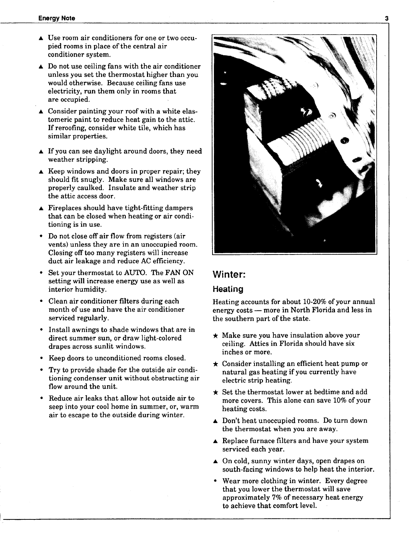- A Use room air conditioners for one or two occupied rooms in place of the central air conditioner system.
- $\triangle$  Do not use ceiling fans with the air conditioner unless you set the thermostat higher than you would otherwise. Because ceiling fans use electricity, run them only in rooms that are occupied.
- A Consider painting your roof with a white elastomeric paint to reduce heat gain to the attic. If reroofing, consider white tile, which has similar properties.
- $\blacktriangle$  If you can see daylight around doors, they need weather stripping.
- $\triangle$  Keep windows and doors in proper repair; they should fit snugly. Make sure all windows are properly caulked. Insulate and weather strip the attic access door.
- $\blacktriangle$  Fireplaces should have tight-fitting dampers that can be closed when heating or air conditioning is in use.
- Do not close off air flow from registers (air vents) unless they are in an unoccupied room. Closing off too many registers will increase duct air leakage and reduce AC efficiency.
- Set your thermostat to AUTO. The FAN ON setting will increase energy use as well as interior humidity.
- Clean air conditioner filters during each month of use and have the air conditioner serviced regularly.
- Install awnings to shade windows that are in direct summer sun, or draw light-colored drapes across sunlit windows.
- Keep doors to unconditioned rooms closed.
- Try to provide shade for the outside air conditioning condenser unit without obstructing air flow around the unit.
- Reduce air leaks that allow hot outside air to seep into your cool home in summer, or, warm air to escape to the outside during winter.



#### **Winter:**

#### **Heating**

Heating accounts for about 10-20% of your annual energy  $costs$  - more in North Florida and less in the southern part of the state.

- $\star$  Make sure you have insulation above your ceiling. Attics in Florida should have six inches or more.
- **j,** Consider installing an efficient heat pump or natural gas heating if you currently have electric strip heating.<br> $\star$  Set the thermostat lower at bedtime and add
- more covers. This alone can save 10% of your heating costs.
- A Don't heat unoccupied rooms. Do turn down the thermostat when you are away.
- A Replace furnace filters and have your system serviced each year.
- A On cold, sunny winter days, open drapes on south-facing windows to help heat the interior.
- Wear more clothing in winter. Every degree that you lower the thermostat will save approximately **7%** of necessary heat energy to achieve that comfort level.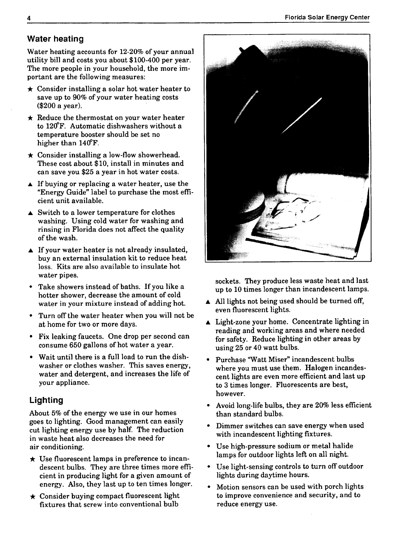# **Water heating**

Water heating accounts for 12-20% of your annual utility bill and costs you about \$100-400 per year. The more people in your household, the more im-<br>portant are the following measures:

- $\star$  Consider installing a solar hot water heater to save up to 90% of your water heating costs (\$200 a year).
- $\star$  Reduce the thermostat on your water heater to 12@F. Automatic dishwashers without a temperature booster should be set no
- higher than 140°F.<br>  $\star$  Consider installing a low-flow showerhead. These cost about \$10, install in minutes and can save you \$25 a year in hot water costs.
- $\triangle$  If buying or replacing a water heater, use the "Energy Guide" label to purchase the most efficient unit available.
- $\blacktriangle$  Switch to a lower temperature for clothes washing. Using cold water for washing and rinsing in Florida does not affect the quality of the wash.
- $\blacktriangle$  If your water heater is not already insulated, buy an external insulation kit to reduce heat loss. Kits are also available to insulate hot water pipes.
- Take showers instead of baths. If you like a hotter shower, decrease the amount of cold water in your mixture instead of adding hot.
- Turn off the water heater when you will not be at home for two or more days.
- Fix leaking faucets. One drop per second can consume 650 gallons of hot water a year.
- Wait until there is a full load to run the dish- $\bullet$ washer or clothes washer. This saves energy, water and detergent, and increases the life of your appliance.

# **Lighting**

About 5% of the energy we use in our homes goes to lighting. Good management can easily cut lighting energy use by half. The reduction in waste heat also decreases the need for air conditioning.

- $\star$  Use fluorescent lamps in preference to incandescent bulbs. They are three times more efficient in producing light for a given amount of
- energy. Also, they last up to ten times longer.<br> $\star$  Consider buying compact fluorescent light fixtures that screw into conventional bulb



sockets. They produce less waste heat and last up to 10 times longer than incandescent lamps.

- All lights not being used should be turned off, even fluorescent lights.
- A Light-zone your home. Concentrate lighting in reading and working areas and where needed for safety. Reduce lighting in other areas by using 25 or 40 watt bulbs.
- Purchase 'Watt Miser" incandescent bulbs where you must use them. Halogen incandescent lights are even more efficient and last up to 3 times longer. Fluorescents are best, however.
- Avoid long-life bulbs, they are 20% less efficient than standard bulbs.
- Dimmer switches can save energy when used with incandescent lighting fixtures.
- Use high-pressure sodium or metal halide lamps for outdoor lights left on all night.
- Use light-sensing controls to turn off outdoor lights during daytime hours.
- Motion sensors can be used with porch lights to improve convenience and security, and to reduce energy use.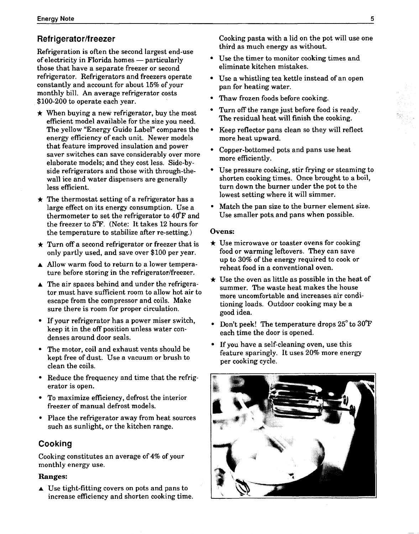### **Refrigerator/freezer**

Refrigeration is often the second largest end-use of electricity in Florida homes  $-$  particularly those that have a separate freezer or second refrigerator. Refrigerators and freezers operate constantly and account for about 15% of your monthly bill. An average refrigerator costs<br>\$100-200 to operate each vear.

- $\star$  When buying a new refrigerator, buy the most efficient model available for the size you need. The yellow "Energy Guide Label" compares the energy efficiency of each unit. Newer models that feature improved insulation and power saver switches can save considerably over more elaborate models; and they cost less. Side-byside refrigerators and those with through-thewall ice and water dispensers are generally less efficient.<br>  $\star$  The thermostat setting of a refrigerator has a
- large effect on its energy consumption. Use a thermometer to set the refrigerator to  $40^{\circ}$ F and the freezer to **5°F.** (Note: It takes 12 hours for the temperature to stabilize after re-setting.)
- $\star$  Turn off a second refrigerator or freezer that is only partly used, and save over \$100 per year.
- A Allow warm food to return to a lower temperature before storing in the refrigerator/freezer.
- $\triangle$  The air spaces behind and under the refrigerator must have sufficient room to allow hot air to escape from the compressor and coils. Make sure there is room for proper circulation.
- If your refrigerator has a power miser switch, keep it in the off position unless water condenses around door seals.
- The motor, coil and exhaust vents should be kept free of dust. Use a vacuum or brush to clean the coils.
- Reduce the frequency and time that the refrigerator is open.
- To maximize efficiency, defrost the interior freezer of manual defrost models.
- Place the refrigerator away from heat sources such as sunlight, or the kitchen range.

#### **Cooking**

Cooking constitutes an average of 4% of your monthly energy use.

#### **Ranges:**

 $\triangle$  Use tight-fitting covers on pots and pans to increase efficiency and shorten cooking time. Cooking pasta with a lid on the pot will use one third as much energy as without.

- Use the timer to monitor cooking times and eliminate kitchen mistakes.
- Use a whistling tea kettle instead of an open pan for heating water.
- Thaw frozen foods before cooking.
- Turn off the range just before food is ready. The residual heat will finish the cooking.
- Keep reflector pans clean so they will reflect  $\bullet$ more heat upward.
- Copper-bottomed pots and pans use heat more efficiently.
- Use pressure cooking, stir frying or steaming to shorten cooking times. Once brought to a boil, turn down the burner under the pot to the lowest setting where it will simmer.
- Match the pan size to the burner element size.  $\bullet$ Use smaller pots and pans when possible.

- **Ovens:**<br>★ Use microwave or toaster ovens for cooking food or warming leftovers. They can save up to 30% of the energy required to cook or<br>reheat food in a conventional oven.
- $\star$  Use the oven as little as possible in the heat of summer. The waste heat makes the house more uncomfortable and increases air conditioning loads. Outdoor cooking may be a good idea.
- Don't peek! The temperature drops  $25^{\circ}$  to  $30^{\circ}$ F each time the door is opened.
- If you have a self-cleaning oven, use this feature sparingly. It uses 20% more energy per cooking cycle.

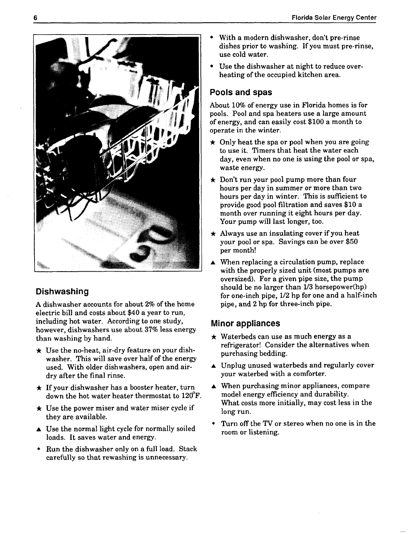

# **Dishwashing**

**A** dishwasher accounts for about 2% of the home electric bill and costs about \$40 a year to run, including hot water. According to one study, however, dishwashers use about 37% less energy

- than washing by hand.<br> $\star$  Use the no-heat, air-dry feature on your dishwasher. This will save over half of the energy used. With older dishwashers, open and airdry after the final rinse.
- $\star$  If your dishwasher has a booster heater, turn<br>down the hot water heater thermostat to 120 $\rm{^{\circ}F}$ .
- $\star$  Use the power miser and water miser cycle if they are available.
- $\triangle$  Use the normal light cycle for normally soiled loads. It saves water and energy.
- Run the dishwasher only on a full load. Stack carefully so that rewashing is unnecessary.
- With a modern dishwasher, don't pre-rinse dishes prior to washing. If you must pre-rinse, use cold water.
- Use the dishwasher at night to reduce overheating of the occupied kitchen area.

# **Pools and spas**

About 10% of energy use in Florida homes is for pools. Pool and spa heaters use a large amount of energy, and can easily cost \$100 a month to operate in the winter.

- $\star$  Only heat the spa or pool when you are going to use it. Timers that heat the water each day, even when no one is using the pool or spa, waste energy.
- $\star$  Don't run your pool pump more than four hours per day in summer or more than two hours per day in winter. This is sufficient to provide good pool filtration and saves \$10 a month over running it eight hours per day. Your pump will last longer, too.
- $\star$  Always use an insulating cover if you heat your pool or spa. Savings can be over \$50 per month!
- When replacing a circulation pump, replace with the properly sized unit (most pumps are oversized). For a given pipe size, the pump should be no larger than **l/3** horsepower(hp) for one-inch pipe, 1/2 hp for one and a half-inch pipe, and 2 hp for three-inch pipe.

## **Minor appliances**

- $\star$  Waterbeds can use as much energy as a refrigerator! Consider the alternatives when purchasing bedding.
- $\blacktriangle$  Unplug unused waterbeds and regularly cover your waterbed with a comforter.
- $\blacktriangle$  When purchasing minor appliances, compare model energy efficiency and durability. What costs more initially, may cost less in the long run.
- Turn off the **TV** or stereo when no one is in the room or listening.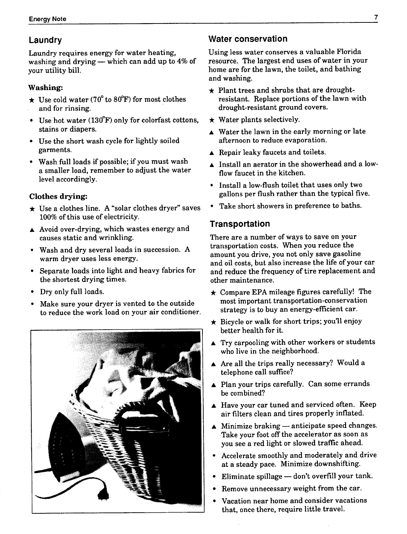Laundry requires energy for water heating, washing and drying  $-$  which can add up to 4% of your utility bill.

#### **Washing:**

- $\star$  Use cold water (70° to 80°F) for most clothes and for rinsing.
- Use hot water  $(130°F)$  only for colorfast cottons,  $\bullet$ stains or diapers.
- Use the short wash cycle for lightly soiled garments.
- Wash full loads if possible; if you must wash a smaller load, remember to adjust the water level accordingly.

### **Clothes drying:**

- $\star$  Use a clothes line. A "solar clothes dryer" saves 100% of this use of electricity.
- A Avoid over-drying, which wastes energy and causes static and wrinkling.
- Wash and dry several loads in succession. A  $\bullet$ warm dryer uses less energy.
- Separate loads into light and heavy fabrics for the shortest drying times.
- Dry only full loads.
- Make sure your dryer is vented to the outside to reduce the work load on your air conditioner.



## **Laundry Conservation Conservation Conservation**

Using less water conserves a valuable Florida resource. The largest end uses of water in your home are for the lawn, the toilet, and bathing and washing.

- $\star$  Plant trees and shrubs that are droughtresistant. Replace portions of the lawn with drought-resistant ground covers.<br>  $\star$  Water plants selectively.
- 
- A Water the lawn in the early morning or late afternoon to reduce evaporation.
- A Repair leaky faucets and toilets.
- A Install an aerator in the showerhead and a lowflow faucet in the kitchen.
- Install a low-flush toilet that uses only two gallons per flush rather than the typical five.
- Take short showers in preference to baths.

### **Transportation**

There are a number of ways to save on your transportation costs. When you reduce the amount you drive, you not only save gasoline and oil costs, but also increase the life of your car and reduce the frequency of tire replacement and other maintenance.

- **j,** Compare EPA mileage figures carefully! The most important transportation-conservation strategy is to buy an energy-efficient car.
- **j,** Bicycle or walk for short trips; you'll enjoy better health for it.
- $\blacktriangle$  Try carpooling with other workers or students who live in the neighborhood.
- $\blacktriangle$  Are all the trips really necessary? Would a telephone call suffice?
- ▲ Plan your trips carefully. Can some errands be combined?
- A Have your car tuned and serviced often. Keep air filters clean and tires properly inflated.
- $\blacktriangle$  Minimize braking anticipate speed changes. Take your foot off the accelerator as soon as you see a red light or slowed traffic ahead.
- Accelerate smoothly and moderately and drive at a steady pace. Minimize downshifting.<br>Eliminate spillage — don't overfill your tank.
- 
- Remove unnecessary weight from the car.
- Vacation near home and consider vacations that, once there, require little travel.